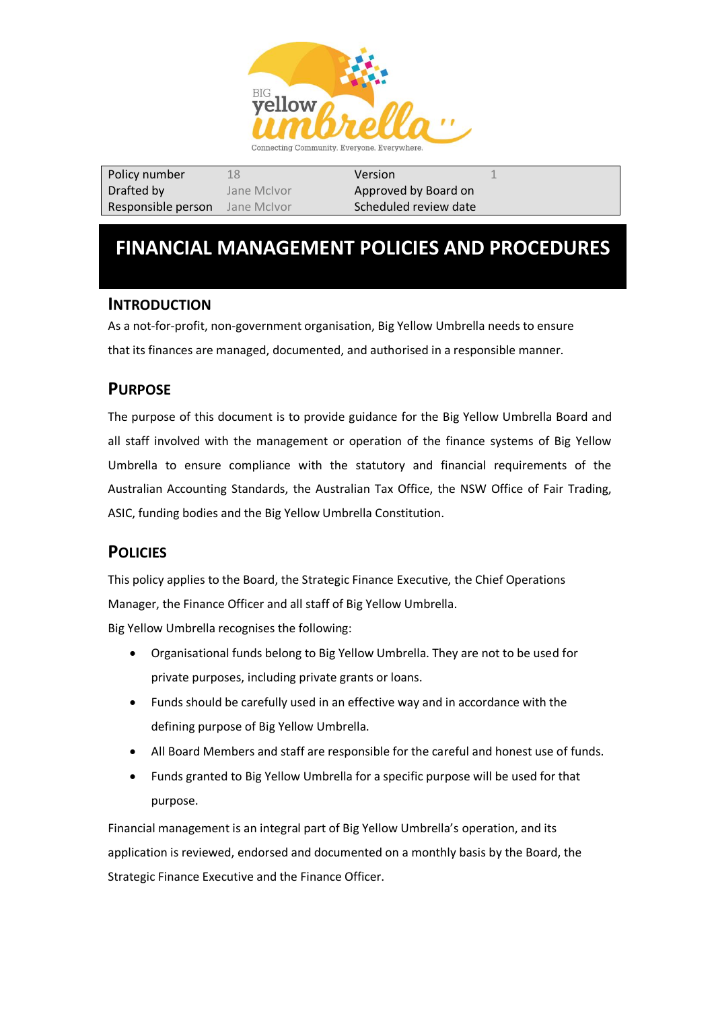

| Policy number      | 18          | Version               |  |
|--------------------|-------------|-----------------------|--|
| Drafted by         | Jane McIvor | Approved by Board on  |  |
| Responsible person | Jane McIvor | Scheduled review date |  |

# **FINANCIAL MANAGEMENT POLICIES AND PROCEDURES**

### **INTRODUCTION**

As a not-for-profit, non-government organisation, Big Yellow Umbrella needs to ensure that its finances are managed, documented, and authorised in a responsible manner.

### **PURPOSE**

The purpose of this document is to provide guidance for the Big Yellow Umbrella Board and all staff involved with the management or operation of the finance systems of Big Yellow Umbrella to ensure compliance with the statutory and financial requirements of the Australian Accounting Standards, the Australian Tax Office, the NSW Office of Fair Trading, ASIC, funding bodies and the Big Yellow Umbrella Constitution.

## **POLICIES**

This policy applies to the Board, the Strategic Finance Executive, the Chief Operations Manager, the Finance Officer and all staff of Big Yellow Umbrella.

Big Yellow Umbrella recognises the following:

- Organisational funds belong to Big Yellow Umbrella. They are not to be used for private purposes, including private grants or loans.
- Funds should be carefully used in an effective way and in accordance with the defining purpose of Big Yellow Umbrella.
- All Board Members and staff are responsible for the careful and honest use of funds.
- Funds granted to Big Yellow Umbrella for a specific purpose will be used for that purpose.

Financial management is an integral part of Big Yellow Umbrella's operation, and its application is reviewed, endorsed and documented on a monthly basis by the Board, the Strategic Finance Executive and the Finance Officer.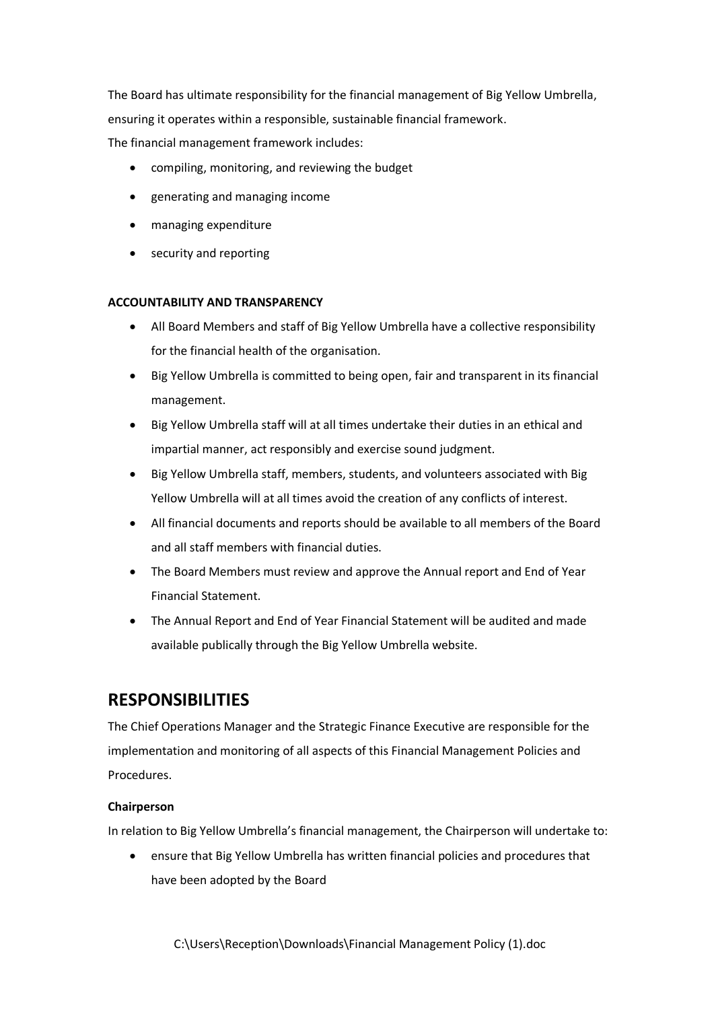The Board has ultimate responsibility for the financial management of Big Yellow Umbrella, ensuring it operates within a responsible, sustainable financial framework. The financial management framework includes:

- compiling, monitoring, and reviewing the budget
- generating and managing income
- managing expenditure
- security and reporting

#### **ACCOUNTABILITY AND TRANSPARENCY**

- All Board Members and staff of Big Yellow Umbrella have a collective responsibility for the financial health of the organisation.
- Big Yellow Umbrella is committed to being open, fair and transparent in its financial management.
- Big Yellow Umbrella staff will at all times undertake their duties in an ethical and impartial manner, act responsibly and exercise sound judgment.
- Big Yellow Umbrella staff, members, students, and volunteers associated with Big Yellow Umbrella will at all times avoid the creation of any conflicts of interest.
- All financial documents and reports should be available to all members of the Board and all staff members with financial duties.
- The Board Members must review and approve the Annual report and End of Year Financial Statement.
- The Annual Report and End of Year Financial Statement will be audited and made available publically through the Big Yellow Umbrella website.

# **RESPONSIBILITIES**

The Chief Operations Manager and the Strategic Finance Executive are responsible for the implementation and monitoring of all aspects of this Financial Management Policies and Procedures.

#### **Chairperson**

In relation to Big Yellow Umbrella's financial management, the Chairperson will undertake to:

• ensure that Big Yellow Umbrella has written financial policies and procedures that have been adopted by the Board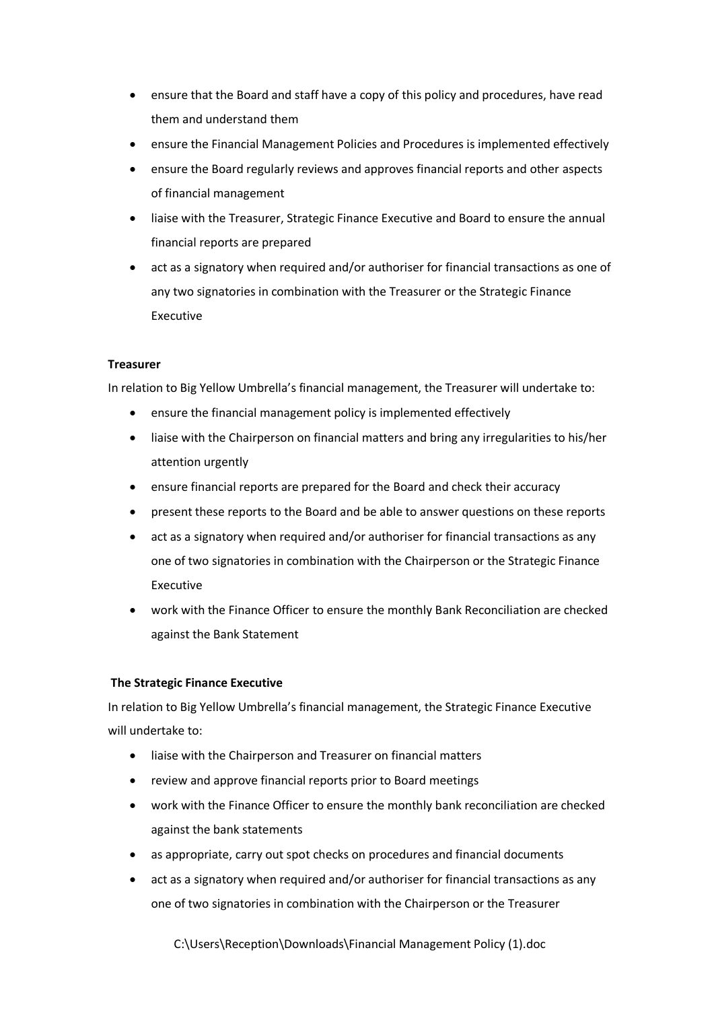- ensure that the Board and staff have a copy of this policy and procedures, have read them and understand them
- ensure the Financial Management Policies and Procedures is implemented effectively
- ensure the Board regularly reviews and approves financial reports and other aspects of financial management
- liaise with the Treasurer, Strategic Finance Executive and Board to ensure the annual financial reports are prepared
- act as a signatory when required and/or authoriser for financial transactions as one of any two signatories in combination with the Treasurer or the Strategic Finance Executive

#### **Treasurer**

In relation to Big Yellow Umbrella's financial management, the Treasurer will undertake to:

- ensure the financial management policy is implemented effectively
- liaise with the Chairperson on financial matters and bring any irregularities to his/her attention urgently
- ensure financial reports are prepared for the Board and check their accuracy
- present these reports to the Board and be able to answer questions on these reports
- act as a signatory when required and/or authoriser for financial transactions as any one of two signatories in combination with the Chairperson or the Strategic Finance Executive
- work with the Finance Officer to ensure the monthly Bank Reconciliation are checked against the Bank Statement

#### **The Strategic Finance Executive**

In relation to Big Yellow Umbrella's financial management, the Strategic Finance Executive will undertake to:

- liaise with the Chairperson and Treasurer on financial matters
- review and approve financial reports prior to Board meetings
- work with the Finance Officer to ensure the monthly bank reconciliation are checked against the bank statements
- as appropriate, carry out spot checks on procedures and financial documents
- act as a signatory when required and/or authoriser for financial transactions as any one of two signatories in combination with the Chairperson or the Treasurer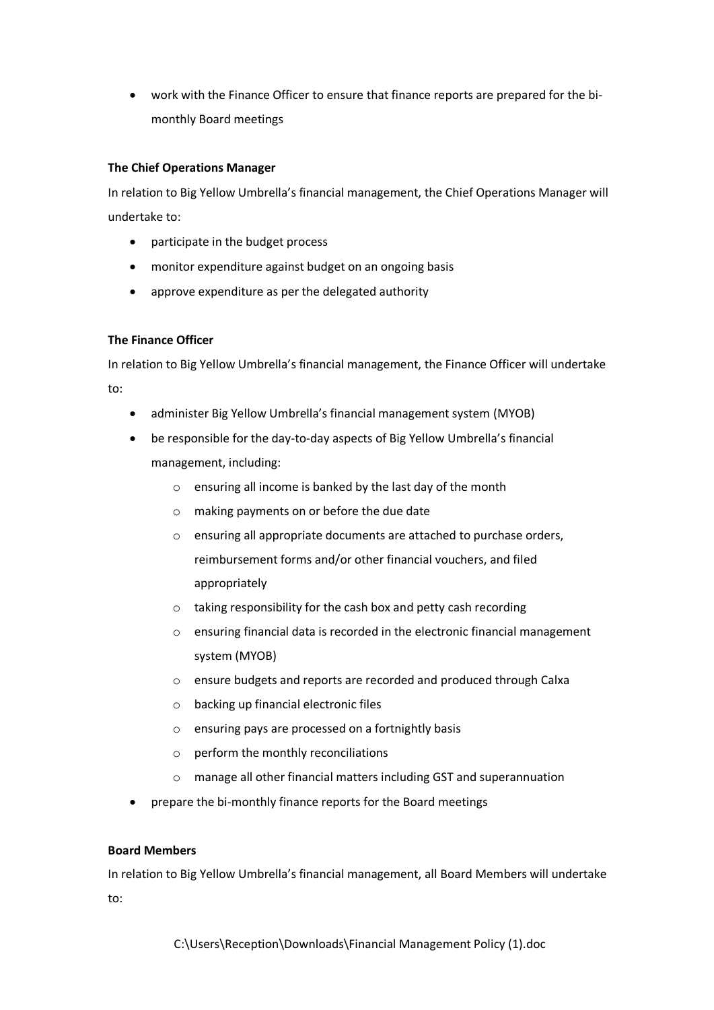• work with the Finance Officer to ensure that finance reports are prepared for the bimonthly Board meetings

#### **The Chief Operations Manager**

In relation to Big Yellow Umbrella's financial management, the Chief Operations Manager will undertake to:

- participate in the budget process
- monitor expenditure against budget on an ongoing basis
- approve expenditure as per the delegated authority

#### **The Finance Officer**

In relation to Big Yellow Umbrella's financial management, the Finance Officer will undertake

to:

- administer Big Yellow Umbrella's financial management system (MYOB)
- be responsible for the day-to-day aspects of Big Yellow Umbrella's financial management, including:
	- o ensuring all income is banked by the last day of the month
	- o making payments on or before the due date
	- o ensuring all appropriate documents are attached to purchase orders, reimbursement forms and/or other financial vouchers, and filed appropriately
	- o taking responsibility for the cash box and petty cash recording
	- o ensuring financial data is recorded in the electronic financial management system (MYOB)
	- o ensure budgets and reports are recorded and produced through Calxa
	- o backing up financial electronic files
	- o ensuring pays are processed on a fortnightly basis
	- o perform the monthly reconciliations
	- o manage all other financial matters including GST and superannuation
- prepare the bi-monthly finance reports for the Board meetings

#### **Board Members**

In relation to Big Yellow Umbrella's financial management, all Board Members will undertake to: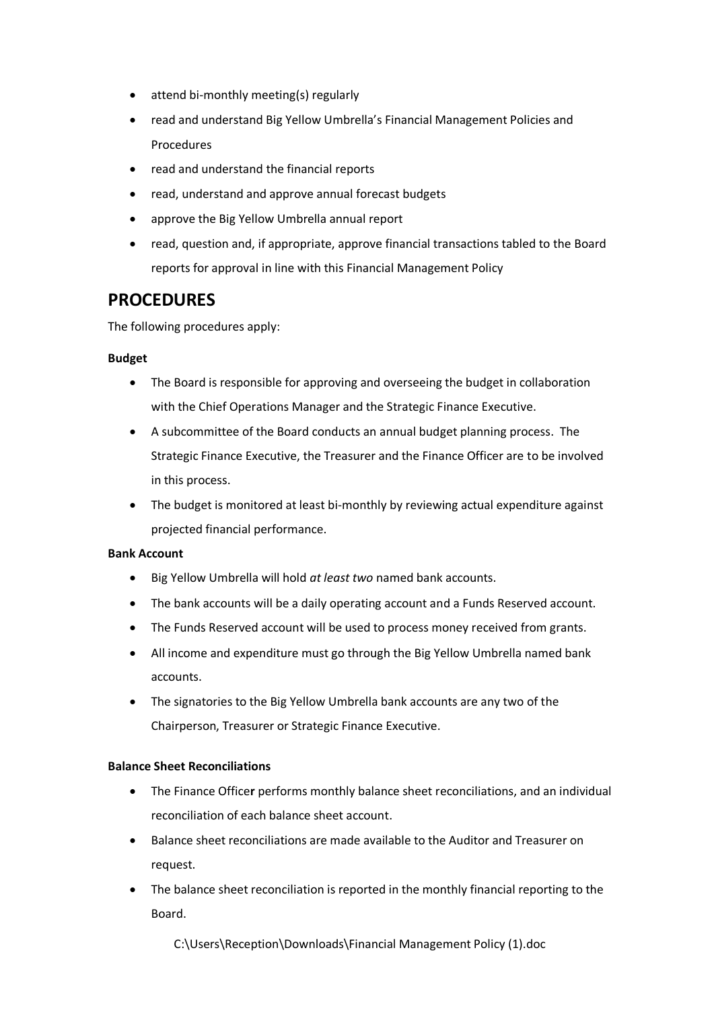- attend bi-monthly meeting(s) regularly
- read and understand Big Yellow Umbrella's Financial Management Policies and Procedures
- read and understand the financial reports
- read, understand and approve annual forecast budgets
- approve the Big Yellow Umbrella annual report
- read, question and, if appropriate, approve financial transactions tabled to the Board reports for approval in line with this Financial Management Policy

# **PROCEDURES**

The following procedures apply:

#### **Budget**

- The Board is responsible for approving and overseeing the budget in collaboration with the Chief Operations Manager and the Strategic Finance Executive.
- A subcommittee of the Board conducts an annual budget planning process. The Strategic Finance Executive, the Treasurer and the Finance Officer are to be involved in this process.
- The budget is monitored at least bi-monthly by reviewing actual expenditure against projected financial performance.

#### **Bank Account**

- Big Yellow Umbrella will hold *at least two* named bank accounts.
- The bank accounts will be a daily operating account and a Funds Reserved account.
- The Funds Reserved account will be used to process money received from grants.
- All income and expenditure must go through the Big Yellow Umbrella named bank accounts.
- The signatories to the Big Yellow Umbrella bank accounts are any two of the Chairperson, Treasurer or Strategic Finance Executive.

#### **Balance Sheet Reconciliations**

- The Finance Office**r** performs monthly balance sheet reconciliations, and an individual reconciliation of each balance sheet account.
- Balance sheet reconciliations are made available to the Auditor and Treasurer on request.
- The balance sheet reconciliation is reported in the monthly financial reporting to the Board.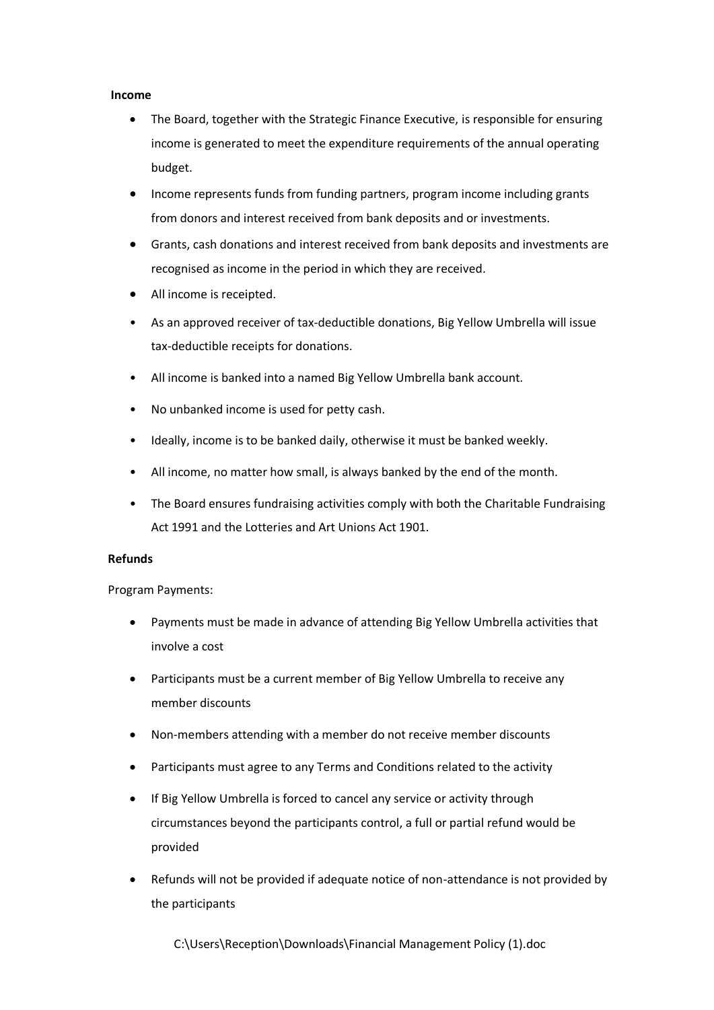#### **Income**

- The Board, together with the Strategic Finance Executive, is responsible for ensuring income is generated to meet the expenditure requirements of the annual operating budget.
- Income represents funds from funding partners, program income including grants from donors and interest received from bank deposits and or investments.
- Grants, cash donations and interest received from bank deposits and investments are recognised as income in the period in which they are received.
- All income is receipted.
- As an approved receiver of tax-deductible donations, Big Yellow Umbrella will issue tax-deductible receipts for donations.
- All income is banked into a named Big Yellow Umbrella bank account.
- No unbanked income is used for petty cash.
- Ideally, income is to be banked daily, otherwise it must be banked weekly.
- All income, no matter how small, is always banked by the end of the month.
- The Board ensures fundraising activities comply with both the Charitable Fundraising Act 1991 and the Lotteries and Art Unions Act 1901.

#### **Refunds**

Program Payments:

- Payments must be made in advance of attending Big Yellow Umbrella activities that involve a cost
- Participants must be a current member of Big Yellow Umbrella to receive any member discounts
- Non-members attending with a member do not receive member discounts
- Participants must agree to any Terms and Conditions related to the activity
- If Big Yellow Umbrella is forced to cancel any service or activity through circumstances beyond the participants control, a full or partial refund would be provided
- Refunds will not be provided if adequate notice of non-attendance is not provided by the participants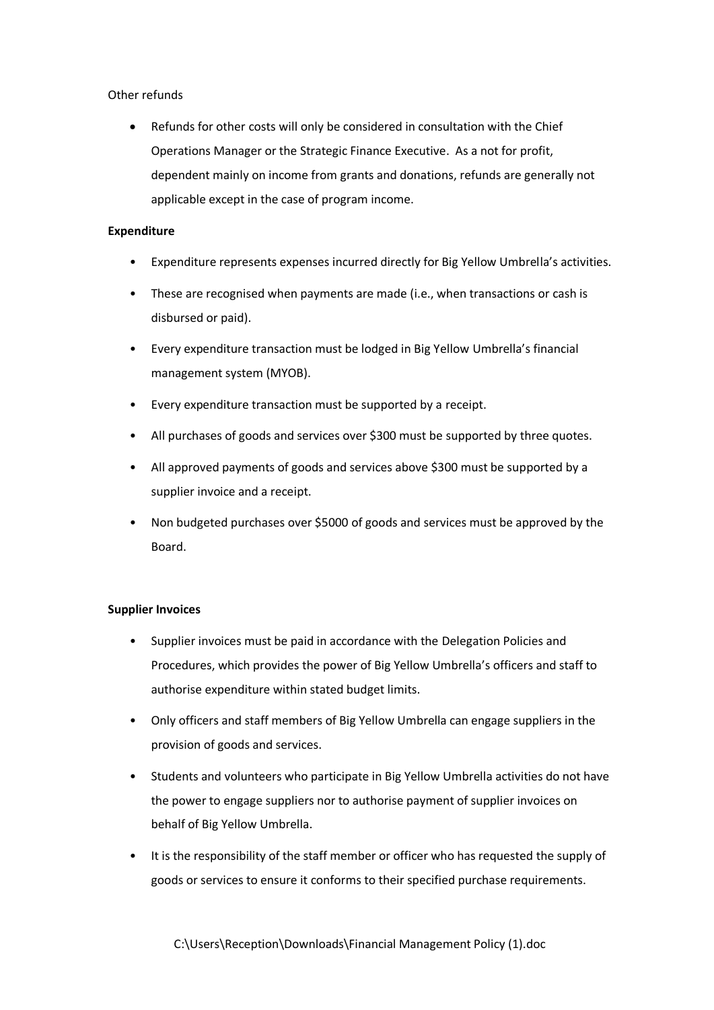#### Other refunds

Refunds for other costs will only be considered in consultation with the Chief Operations Manager or the Strategic Finance Executive. As a not for profit, dependent mainly on income from grants and donations, refunds are generally not applicable except in the case of program income.

#### **Expenditure**

- Expenditure represents expenses incurred directly for Big Yellow Umbrella's activities.
- These are recognised when payments are made (i.e., when transactions or cash is disbursed or paid).
- Every expenditure transaction must be lodged in Big Yellow Umbrella's financial management system (MYOB).
- Every expenditure transaction must be supported by a receipt.
- All purchases of goods and services over \$300 must be supported by three quotes.
- All approved payments of goods and services above \$300 must be supported by a supplier invoice and a receipt.
- Non budgeted purchases over \$5000 of goods and services must be approved by the Board.

#### **Supplier Invoices**

- Supplier invoices must be paid in accordance with the Delegation Policies and Procedures, which provides the power of Big Yellow Umbrella's officers and staff to authorise expenditure within stated budget limits.
- Only officers and staff members of Big Yellow Umbrella can engage suppliers in the provision of goods and services.
- Students and volunteers who participate in Big Yellow Umbrella activities do not have the power to engage suppliers nor to authorise payment of supplier invoices on behalf of Big Yellow Umbrella.
- It is the responsibility of the staff member or officer who has requested the supply of goods or services to ensure it conforms to their specified purchase requirements.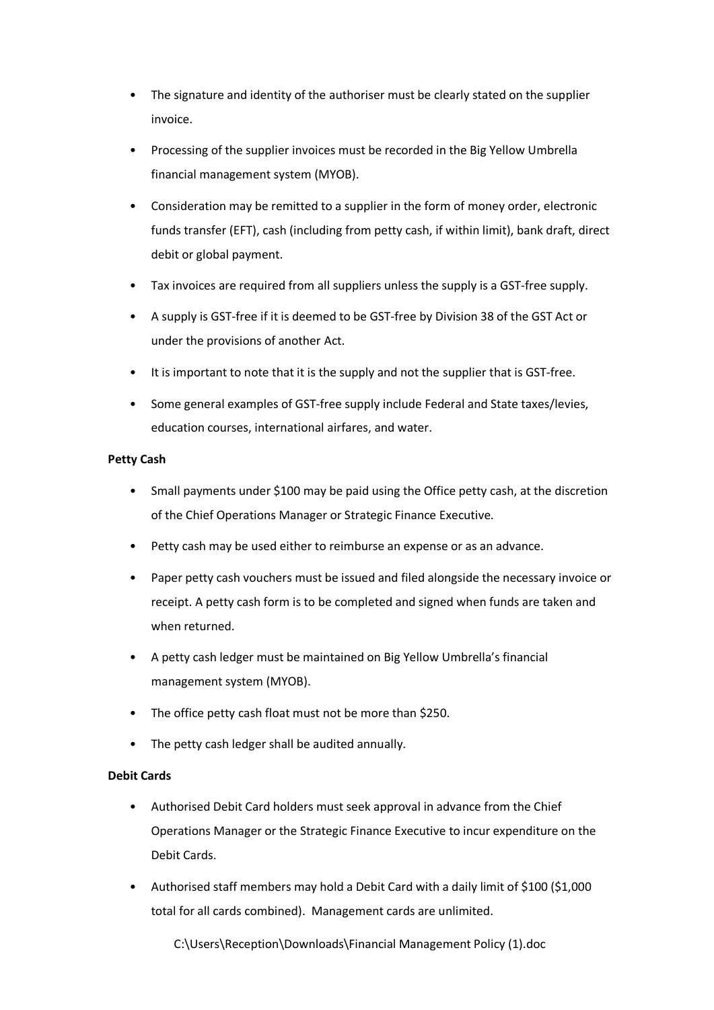- The signature and identity of the authoriser must be clearly stated on the supplier invoice.
- Processing of the supplier invoices must be recorded in the Big Yellow Umbrella financial management system (MYOB).
- Consideration may be remitted to a supplier in the form of money order, electronic funds transfer (EFT), cash (including from petty cash, if within limit), bank draft, direct debit or global payment.
- Tax invoices are required from all suppliers unless the supply is a GST-free supply.
- A supply is GST-free if it is deemed to be GST-free by Division 38 of the GST Act or under the provisions of another Act.
- It is important to note that it is the supply and not the supplier that is GST-free.
- Some general examples of GST-free supply include Federal and State taxes/levies, education courses, international airfares, and water.

#### **Petty Cash**

- Small payments under \$100 may be paid using the Office petty cash, at the discretion of the Chief Operations Manager or Strategic Finance Executive.
- Petty cash may be used either to reimburse an expense or as an advance.
- Paper petty cash vouchers must be issued and filed alongside the necessary invoice or receipt. A petty cash form is to be completed and signed when funds are taken and when returned.
- A petty cash ledger must be maintained on Big Yellow Umbrella's financial management system (MYOB).
- The office petty cash float must not be more than \$250.
- The petty cash ledger shall be audited annually.

#### **Debit Cards**

- Authorised Debit Card holders must seek approval in advance from the Chief Operations Manager or the Strategic Finance Executive to incur expenditure on the Debit Cards.
- Authorised staff members may hold a Debit Card with a daily limit of \$100 (\$1,000 total for all cards combined). Management cards are unlimited.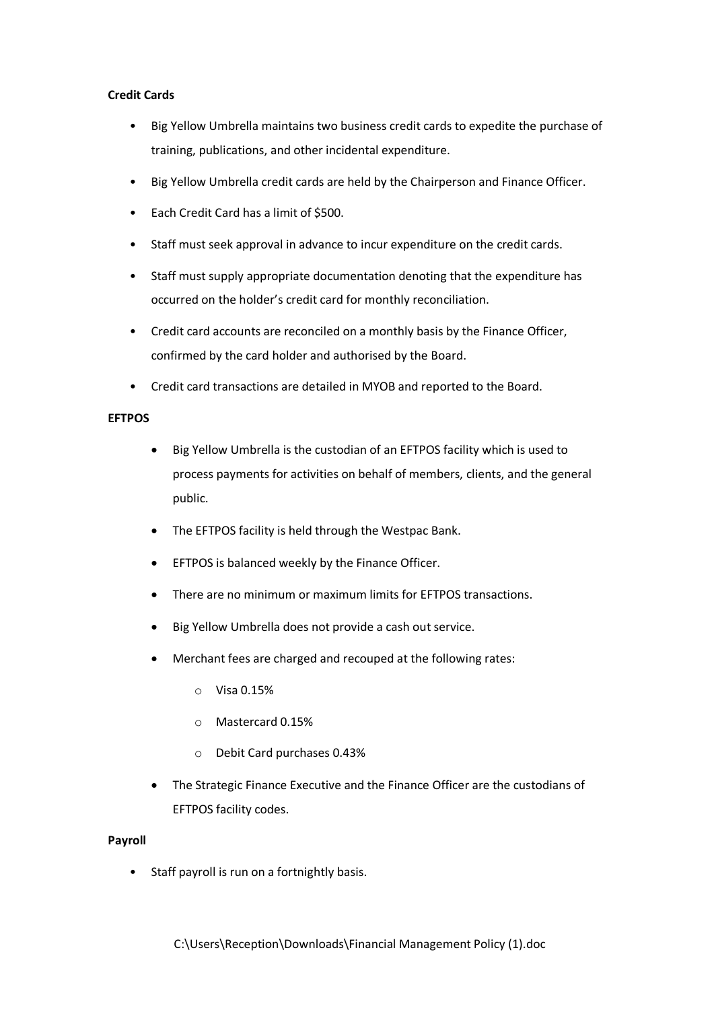#### **Credit Cards**

- Big Yellow Umbrella maintains two business credit cards to expedite the purchase of training, publications, and other incidental expenditure.
- Big Yellow Umbrella credit cards are held by the Chairperson and Finance Officer.
- Each Credit Card has a limit of \$500.
- Staff must seek approval in advance to incur expenditure on the credit cards.
- Staff must supply appropriate documentation denoting that the expenditure has occurred on the holder's credit card for monthly reconciliation.
- Credit card accounts are reconciled on a monthly basis by the Finance Officer, confirmed by the card holder and authorised by the Board.
- Credit card transactions are detailed in MYOB and reported to the Board.

#### **EFTPOS**

- Big Yellow Umbrella is the custodian of an EFTPOS facility which is used to process payments for activities on behalf of members, clients, and the general public.
- The EFTPOS facility is held through the Westpac Bank.
- EFTPOS is balanced weekly by the Finance Officer.
- There are no minimum or maximum limits for EFTPOS transactions.
- Big Yellow Umbrella does not provide a cash out service.
- Merchant fees are charged and recouped at the following rates:
	- o Visa 0.15%
	- o Mastercard 0.15%
	- o Debit Card purchases 0.43%
- The Strategic Finance Executive and the Finance Officer are the custodians of EFTPOS facility codes.

#### **Payroll**

Staff payroll is run on a fortnightly basis.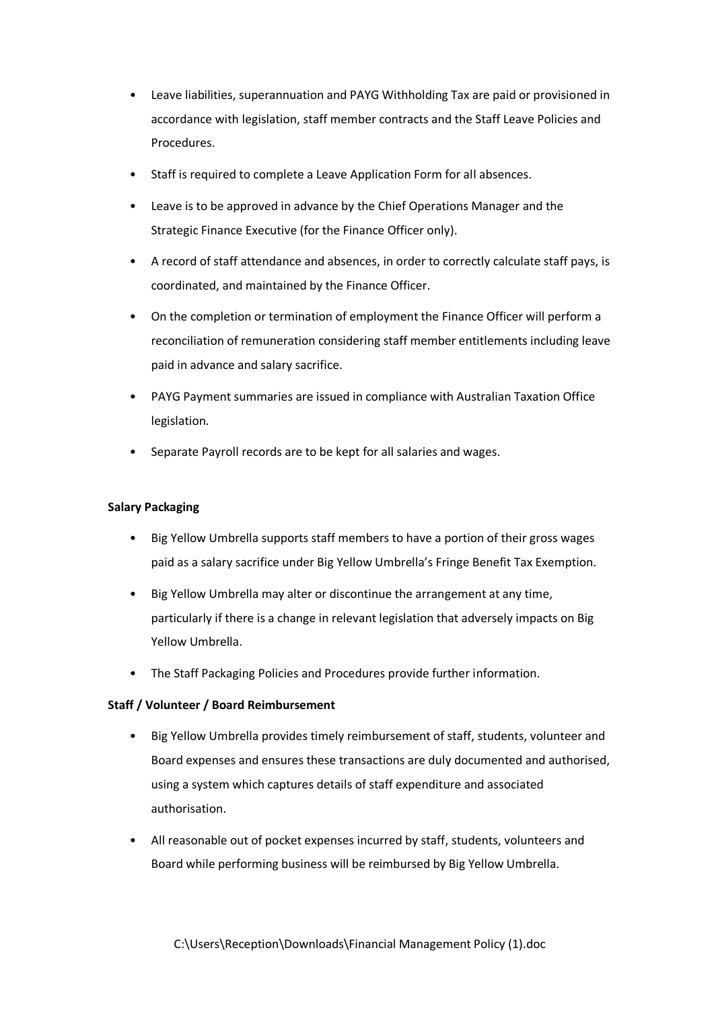- Leave liabilities, superannuation and PAYG Withholding Tax are paid or provisioned in accordance with legislation, staff member contracts and the Staff Leave Policies and Procedures.
- Staff is required to complete a Leave Application Form for all absences.
- Leave is to be approved in advance by the Chief Operations Manager and the Strategic Finance Executive (for the Finance Officer only).
- A record of staff attendance and absences, in order to correctly calculate staff pays, is coordinated, and maintained by the Finance Officer.
- On the completion or termination of employment the Finance Officer will perform a reconciliation of remuneration considering staff member entitlements including leave paid in advance and salary sacrifice.
- PAYG Payment summaries are issued in compliance with Australian Taxation Office legislation.
- Separate Payroll records are to be kept for all salaries and wages.

#### **Salary Packaging**

- Big Yellow Umbrella supports staff members to have a portion of their gross wages paid as a salary sacrifice under Big Yellow Umbrella's Fringe Benefit Tax Exemption.
- Big Yellow Umbrella may alter or discontinue the arrangement at any time, particularly if there is a change in relevant legislation that adversely impacts on Big Yellow Umbrella.
- The Staff Packaging Policies and Procedures provide further information.

#### **Staff / Volunteer / Board Reimbursement**

- Big Yellow Umbrella provides timely reimbursement of staff, students, volunteer and Board expenses and ensures these transactions are duly documented and authorised, using a system which captures details of staff expenditure and associated authorisation.
- All reasonable out of pocket expenses incurred by staff, students, volunteers and Board while performing business will be reimbursed by Big Yellow Umbrella.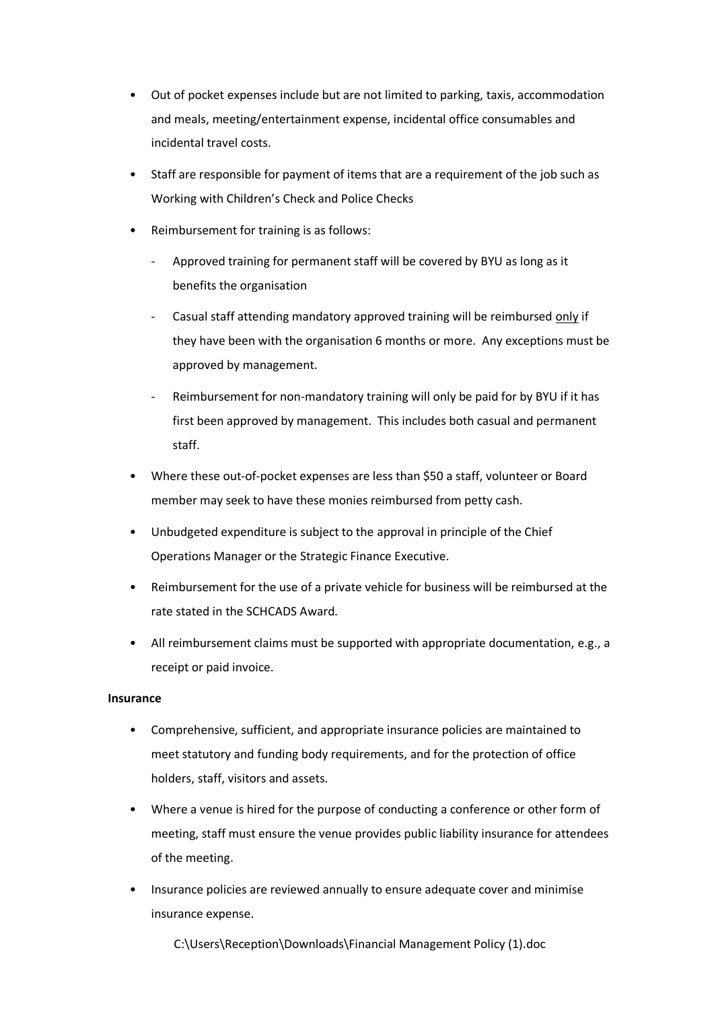- Out of pocket expenses include but are not limited to parking, taxis, accommodation and meals, meeting/entertainment expense, incidental office consumables and incidental travel costs.
- Staff are responsible for payment of items that are a requirement of the job such as Working with Children's Check and Police Checks
- Reimbursement for training is as follows:
	- Approved training for permanent staff will be covered by BYU as long as it benefits the organisation
	- Casual staff attending mandatory approved training will be reimbursed only if they have been with the organisation 6 months or more. Any exceptions must be approved by management.
	- Reimbursement for non-mandatory training will only be paid for by BYU if it has first been approved by management. This includes both casual and permanent staff.
- Where these out-of-pocket expenses are less than \$50 a staff, volunteer or Board member may seek to have these monies reimbursed from petty cash.
- Unbudgeted expenditure is subject to the approval in principle of the Chief Operations Manager or the Strategic Finance Executive.
- Reimbursement for the use of a private vehicle for business will be reimbursed at the rate stated in the SCHCADS Award.
- All reimbursement claims must be supported with appropriate documentation, e.g., a receipt or paid invoice.

#### **Insurance**

- Comprehensive, sufficient, and appropriate insurance policies are maintained to meet statutory and funding body requirements, and for the protection of office holders, staff, visitors and assets.
- Where a venue is hired for the purpose of conducting a conference or other form of meeting, staff must ensure the venue provides public liability insurance for attendees of the meeting.
- Insurance policies are reviewed annually to ensure adequate cover and minimise insurance expense.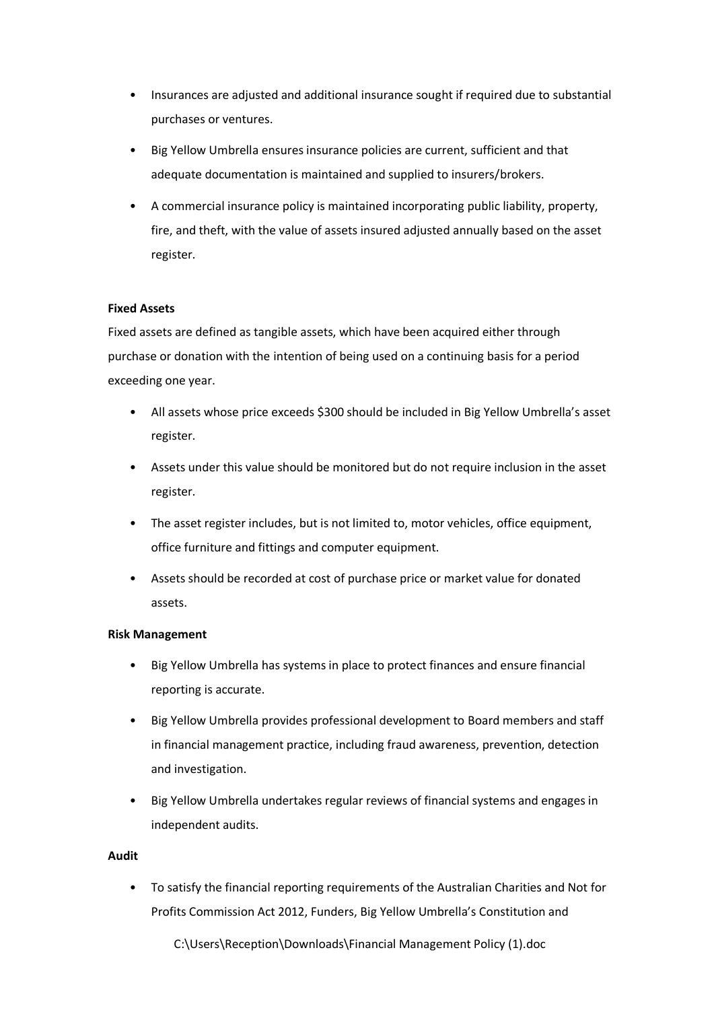- Insurances are adjusted and additional insurance sought if required due to substantial purchases or ventures.
- Big Yellow Umbrella ensures insurance policies are current, sufficient and that adequate documentation is maintained and supplied to insurers/brokers.
- A commercial insurance policy is maintained incorporating public liability, property, fire, and theft, with the value of assets insured adjusted annually based on the asset register.

#### **Fixed Assets**

Fixed assets are defined as tangible assets, which have been acquired either through purchase or donation with the intention of being used on a continuing basis for a period exceeding one year.

- All assets whose price exceeds \$300 should be included in Big Yellow Umbrella's asset register.
- Assets under this value should be monitored but do not require inclusion in the asset register.
- The asset register includes, but is not limited to, motor vehicles, office equipment, office furniture and fittings and computer equipment.
- Assets should be recorded at cost of purchase price or market value for donated assets.

#### **Risk Management**

- Big Yellow Umbrella has systems in place to protect finances and ensure financial reporting is accurate.
- Big Yellow Umbrella provides professional development to Board members and staff in financial management practice, including fraud awareness, prevention, detection and investigation.
- Big Yellow Umbrella undertakes regular reviews of financial systems and engages in independent audits.

#### **Audit**

• To satisfy the financial reporting requirements of the Australian Charities and Not for Profits Commission Act 2012, Funders, Big Yellow Umbrella's Constitution and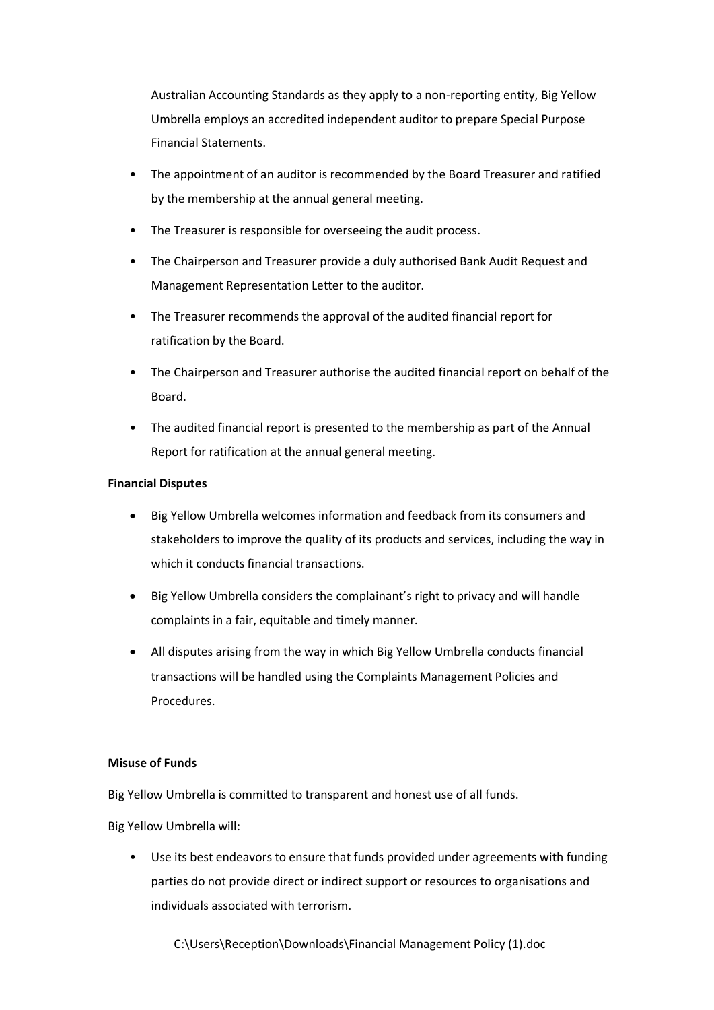Australian Accounting Standards as they apply to a non-reporting entity, Big Yellow Umbrella employs an accredited independent auditor to prepare Special Purpose Financial Statements.

- The appointment of an auditor is recommended by the Board Treasurer and ratified by the membership at the annual general meeting.
- The Treasurer is responsible for overseeing the audit process.
- The Chairperson and Treasurer provide a duly authorised Bank Audit Request and Management Representation Letter to the auditor.
- The Treasurer recommends the approval of the audited financial report for ratification by the Board.
- The Chairperson and Treasurer authorise the audited financial report on behalf of the Board.
- The audited financial report is presented to the membership as part of the Annual Report for ratification at the annual general meeting.

#### **Financial Disputes**

- Big Yellow Umbrella welcomes information and feedback from its consumers and stakeholders to improve the quality of its products and services, including the way in which it conducts financial transactions.
- Big Yellow Umbrella considers the complainant's right to privacy and will handle complaints in a fair, equitable and timely manner.
- All disputes arising from the way in which Big Yellow Umbrella conducts financial transactions will be handled using the Complaints Management Policies and Procedures.

#### **Misuse of Funds**

Big Yellow Umbrella is committed to transparent and honest use of all funds.

Big Yellow Umbrella will:

Use its best endeavors to ensure that funds provided under agreements with funding parties do not provide direct or indirect support or resources to organisations and individuals associated with terrorism.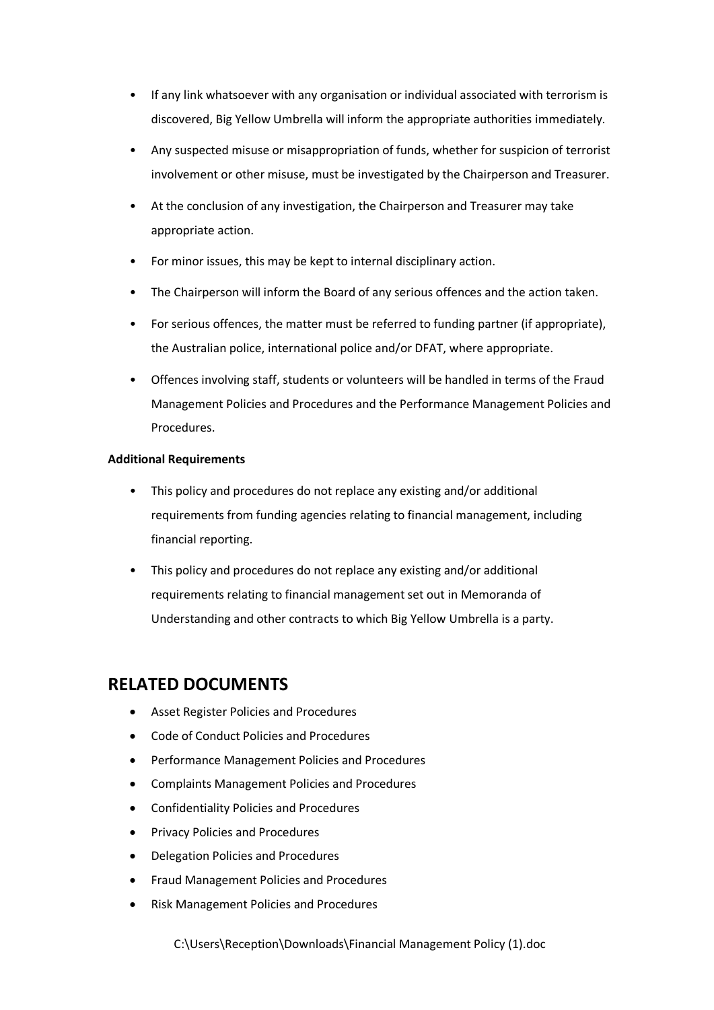- If any link whatsoever with any organisation or individual associated with terrorism is discovered, Big Yellow Umbrella will inform the appropriate authorities immediately.
- Any suspected misuse or misappropriation of funds, whether for suspicion of terrorist involvement or other misuse, must be investigated by the Chairperson and Treasurer.
- At the conclusion of any investigation, the Chairperson and Treasurer may take appropriate action.
- For minor issues, this may be kept to internal disciplinary action.
- The Chairperson will inform the Board of any serious offences and the action taken.
- For serious offences, the matter must be referred to funding partner (if appropriate), the Australian police, international police and/or DFAT, where appropriate.
- Offences involving staff, students or volunteers will be handled in terms of the Fraud Management Policies and Procedures and the Performance Management Policies and Procedures.

#### **Additional Requirements**

- This policy and procedures do not replace any existing and/or additional requirements from funding agencies relating to financial management, including financial reporting.
- This policy and procedures do not replace any existing and/or additional requirements relating to financial management set out in Memoranda of Understanding and other contracts to which Big Yellow Umbrella is a party.

## **RELATED DOCUMENTS**

- Asset Register Policies and Procedures
- Code of Conduct Policies and Procedures
- Performance Management Policies and Procedures
- Complaints Management Policies and Procedures
- Confidentiality Policies and Procedures
- Privacy Policies and Procedures
- Delegation Policies and Procedures
- Fraud Management Policies and Procedures
- Risk Management Policies and Procedures